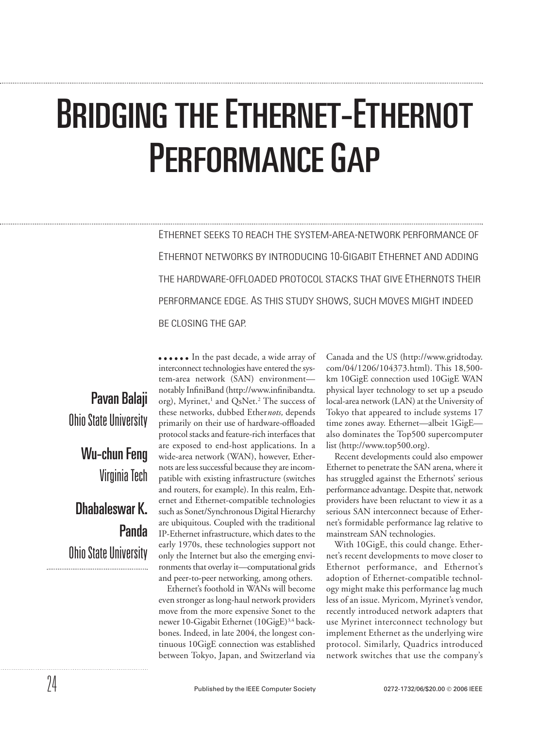# BRIDGING THE ETHERNET-ETHERNOT PERFORMANCE GAP

ETHERNET SEEKS TO REACH THE SYSTEM-AREA-NETWORK PERFORMANCE OF ETHERNOT NETWORKS BY INTRODUCING 10-GIGABIT ETHERNET AND ADDING THE HARDWARE-OFFLOADED PROTOCOL STACKS THAT GIVE ETHERNOTS THEIR PERFORMANCE EDGE. AS THIS STUDY SHOWS, SUCH MOVES MIGHT INDEED BE CLOSING THE GAP.

Pavan Balaji Ohio State University Wu-chun Feng Virginia Tech Dhabaleswar K. Panda Ohio State University

•••••• In the past decade, a wide array of interconnect technologies have entered the system-area network (SAN) environment notably InfiniBand (http://www.infinibandta. org), Myrinet,<sup>1</sup> and QsNet.<sup>2</sup> The success of these networks, dubbed Ether*nots,* depends primarily on their use of hardware-offloaded protocol stacks and feature-rich interfaces that are exposed to end-host applications. In a wide-area network (WAN), however, Ethernots are less successful because they are incompatible with existing infrastructure (switches and routers, for example). In this realm, Ethernet and Ethernet-compatible technologies such as Sonet/Synchronous Digital Hierarchy are ubiquitous. Coupled with the traditional IP-Ethernet infrastructure, which dates to the early 1970s, these technologies support not only the Internet but also the emerging environments that overlay it—computational grids and peer-to-peer networking, among others.

Ethernet's foothold in WANs will become even stronger as long-haul network providers move from the more expensive Sonet to the newer 10-Gigabit Ethernet (10GigE)<sup>3,4</sup> backbones. Indeed, in late 2004, the longest continuous 10GigE connection was established between Tokyo, Japan, and Switzerland via Canada and the US (http://www.gridtoday. com/04/1206/104373.html). This 18,500 km 10GigE connection used 10GigE WAN physical layer technology to set up a pseudo local-area network (LAN) at the University of Tokyo that appeared to include systems 17 time zones away. Ethernet—albeit 1GigE also dominates the Top500 supercomputer list (http://www.top500.org).

Recent developments could also empower Ethernet to penetrate the SAN arena, where it has struggled against the Ethernots' serious performance advantage. Despite that, network providers have been reluctant to view it as a serious SAN interconnect because of Ethernet's formidable performance lag relative to mainstream SAN technologies.

With 10GigE, this could change. Ethernet's recent developments to move closer to Ethernot performance, and Ethernot's adoption of Ethernet-compatible technology might make this performance lag much less of an issue. Myricom, Myrinet's vendor, recently introduced network adapters that use Myrinet interconnect technology but implement Ethernet as the underlying wire protocol. Similarly, Quadrics introduced network switches that use the company's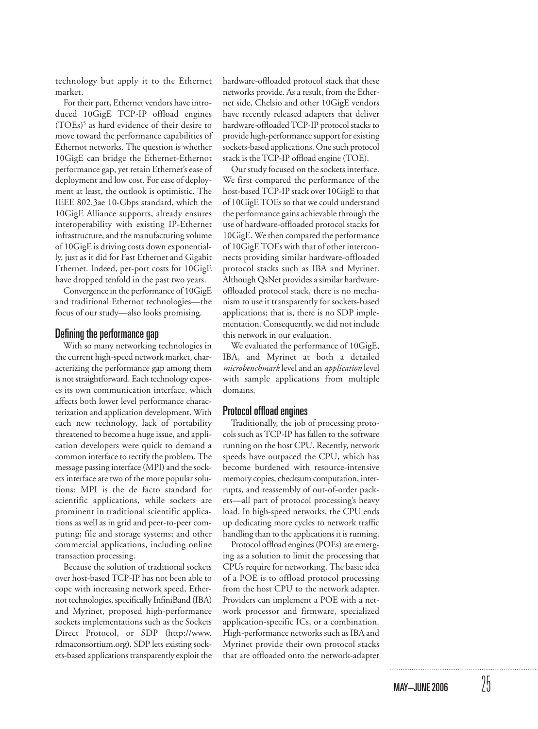technology but apply it to the Ethernet market.

For their part, Ethernet vendors have introduced 10GigE TCP-IP offload engines (TOEs)<sup>5</sup> as hard evidence of their desire to move toward the performance capabilities of Ethernot networks. The question is whether 10GigE can bridge the Ethernet-Ethernot performance gap, yet retain Ethernet's ease of deployment and low cost. For ease of deployment at least, the outlook is optimistic. The IEEE 802.3ae 10-Gbps standard, which the 10GigE Alliance supports, already ensures interoperability with existing IP-Ethernet infrastructure, and the manufacturing volume of 10GigE is driving costs down exponentially, just as it did for Fast Ethernet and Gigabit Ethernet. Indeed, per-port costs for 10GigE have dropped tenfold in the past two years.

Convergence in the performance of 10GigE and traditional Ethernot technologies—the focus of our study—also looks promising.

# Defining the performance gap

With so many networking technologies in the current high-speed network market, characterizing the performance gap among them is not straightforward. Each technology exposes its own communication interface, which affects both lower level performance characterization and application development. With each new technology, lack of portability threatened to become a huge issue, and application developers were quick to demand a common interface to rectify the problem. The message passing interface (MPI) and the sockets interface are two of the more popular solutions: MPI is the de facto standard for scientific applications, while sockets are prominent in traditional scientific applications as well as in grid and peer-to-peer computing; file and storage systems; and other commercial applications, including online transaction processing.

Because the solution of traditional sockets over host-based TCP-IP has not been able to cope with increasing network speed, Ethernot technologies, specifically InfiniBand (IBA) and Myrinet, proposed high-performance sockets implementations such as the Sockets Direct Protocol, or SDP (http://www. rdmaconsortium.org). SDP lets existing sockets-based applications transparently exploit the hardware-offloaded protocol stack that these networks provide. As a result, from the Ethernet side, Chelsio and other 10GigE vendors have recently released adapters that deliver hardware-offloaded TCP-IP protocol stacks to provide high-performance support for existing sockets-based applications. One such protocol stack is the TCP-IP offload engine (TOE).

Our study focused on the sockets interface. We first compared the performance of the host-based TCP-IP stack over 10GigE to that of 10GigE TOEs so that we could understand the performance gains achievable through the use of hardware-offloaded protocol stacks for 10GigE. We then compared the performance of 10GigE TOEs with that of other interconnects providing similar hardware-offloaded protocol stacks such as IBA and Myrinet. Although QsNet provides a similar hardwareoffloaded protocol stack, there is no mechanism to use it transparently for sockets-based applications; that is, there is no SDP implementation. Consequently, we did not include this network in our evaluation.

We evaluated the performance of 10GigE, IBA, and Myrinet at both a detailed *microbenchmark* level and an *application* level with sample applications from multiple domains.

# Protocol offload engines

Traditionally, the job of processing protocols such as TCP-IP has fallen to the software running on the host CPU. Recently, network speeds have outpaced the CPU, which has become burdened with resource-intensive memory copies, checksum computation, interrupts, and reassembly of out-of-order packets—all part of protocol processing's heavy load. In high-speed networks, the CPU ends up dedicating more cycles to network traffic handling than to the applications it is running.

Protocol offload engines (POEs) are emerging as a solution to limit the processing that CPUs require for networking. The basic idea of a POE is to offload protocol processing from the host CPU to the network adapter. Providers can implement a POE with a network processor and firmware, specialized application-specific ICs, or a combination. High-performance networks such as IBA and Myrinet provide their own protocol stacks that are offloaded onto the network-adapter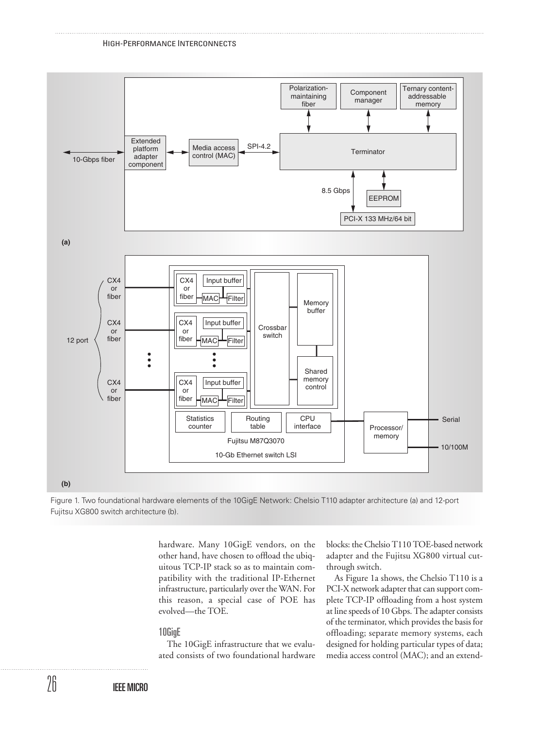

Figure 1. Two foundational hardware elements of the 10GigE Network: Chelsio T110 adapter architecture (a) and 12-port Fujitsu XG800 switch architecture (b).

hardware. Many 10GigE vendors, on the other hand, have chosen to offload the ubiquitous TCP-IP stack so as to maintain compatibility with the traditional IP-Ethernet infrastructure, particularly over the WAN. For this reason, a special case of POE has evolved—the TOE.

# 10GigE

The 10GigE infrastructure that we evaluated consists of two foundational hardware blocks: the Chelsio T110 TOE-based network adapter and the Fujitsu XG800 virtual cutthrough switch.

As Figure 1a shows, the Chelsio T110 is a PCI-X network adapter that can support complete TCP-IP offloading from a host system at line speeds of 10 Gbps. The adapter consists of the terminator, which provides the basis for offloading; separate memory systems, each designed for holding particular types of data; media access control (MAC); and an extend-

IEEE MICRO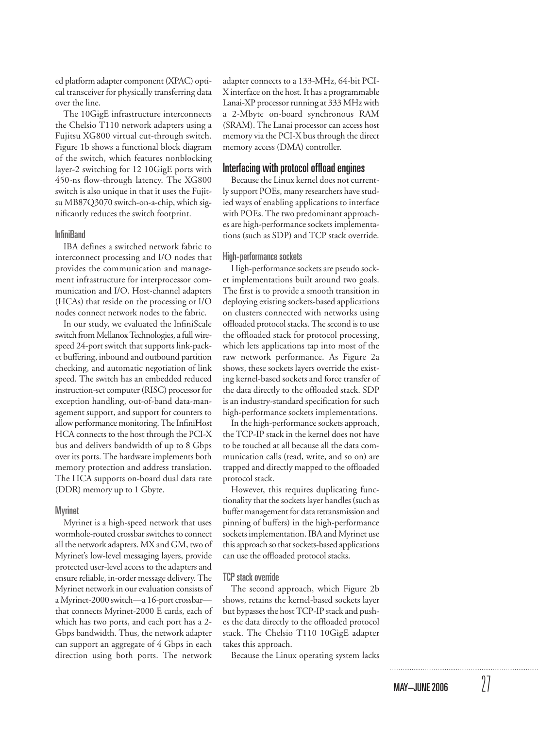ed platform adapter component (XPAC) optical transceiver for physically transferring data over the line.

The 10GigE infrastructure interconnects the Chelsio T110 network adapters using a Fujitsu XG800 virtual cut-through switch. Figure 1b shows a functional block diagram of the switch, which features nonblocking layer-2 switching for 12 10GigE ports with 450-ns flow-through latency. The XG800 switch is also unique in that it uses the Fujitsu MB87Q3070 switch-on-a-chip, which significantly reduces the switch footprint.

# **InfiniBand**

IBA defines a switched network fabric to interconnect processing and I/O nodes that provides the communication and management infrastructure for interprocessor communication and I/O. Host-channel adapters (HCAs) that reside on the processing or I/O nodes connect network nodes to the fabric.

In our study, we evaluated the InfiniScale switch from Mellanox Technologies, a full wirespeed 24-port switch that supports link-packet buffering, inbound and outbound partition checking, and automatic negotiation of link speed. The switch has an embedded reduced instruction-set computer (RISC) processor for exception handling, out-of-band data-management support, and support for counters to allow performance monitoring. The InfiniHost HCA connects to the host through the PCI-X bus and delivers bandwidth of up to 8 Gbps over its ports. The hardware implements both memory protection and address translation. The HCA supports on-board dual data rate (DDR) memory up to 1 Gbyte.

#### **Myrinet**

Myrinet is a high-speed network that uses wormhole-routed crossbar switches to connect all the network adapters. MX and GM, two of Myrinet's low-level messaging layers, provide protected user-level access to the adapters and ensure reliable, in-order message delivery. The Myrinet network in our evaluation consists of a Myrinet-2000 switch—a 16-port crossbar that connects Myrinet-2000 E cards, each of which has two ports, and each port has a 2- Gbps bandwidth. Thus, the network adapter can support an aggregate of 4 Gbps in each direction using both ports. The network

adapter connects to a 133-MHz, 64-bit PCI-X interface on the host. It has a programmable Lanai-XP processor running at 333 MHz with a 2-Mbyte on-board synchronous RAM (SRAM). The Lanai processor can access host memory via the PCI-X bus through the direct memory access (DMA) controller.

## Interfacing with protocol offload engines

Because the Linux kernel does not currently support POEs, many researchers have studied ways of enabling applications to interface with POEs. The two predominant approaches are high-performance sockets implementations (such as SDP) and TCP stack override.

#### High-performance sockets

High-performance sockets are pseudo socket implementations built around two goals. The first is to provide a smooth transition in deploying existing sockets-based applications on clusters connected with networks using offloaded protocol stacks. The second is to use the offloaded stack for protocol processing, which lets applications tap into most of the raw network performance. As Figure 2a shows, these sockets layers override the existing kernel-based sockets and force transfer of the data directly to the offloaded stack. SDP is an industry-standard specification for such high-performance sockets implementations.

In the high-performance sockets approach, the TCP-IP stack in the kernel does not have to be touched at all because all the data communication calls (read, write, and so on) are trapped and directly mapped to the offloaded protocol stack.

However, this requires duplicating functionality that the sockets layer handles (such as buffer management for data retransmission and pinning of buffers) in the high-performance sockets implementation. IBA and Myrinet use this approach so that sockets-based applications can use the offloaded protocol stacks.

#### TCP stack override

The second approach, which Figure 2b shows, retains the kernel-based sockets layer but bypasses the host TCP-IP stack and pushes the data directly to the offloaded protocol stack. The Chelsio T110 10GigE adapter takes this approach.

Because the Linux operating system lacks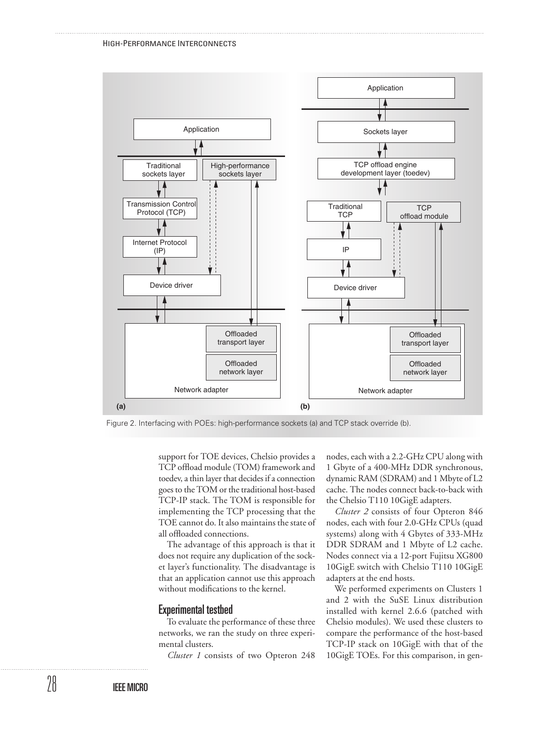HIGH-PERFORMANCE INTERCONNECTS



Figure 2. Interfacing with POEs: high-performance sockets (a) and TCP stack override (b).

support for TOE devices, Chelsio provides a TCP offload module (TOM) framework and toedev, a thin layer that decides if a connection goes to the TOM or the traditional host-based TCP-IP stack. The TOM is responsible for implementing the TCP processing that the TOE cannot do. It also maintains the state of all offloaded connections.

The advantage of this approach is that it does not require any duplication of the socket layer's functionality. The disadvantage is that an application cannot use this approach without modifications to the kernel.

## Experimental testbed

To evaluate the performance of these three networks, we ran the study on three experimental clusters.

*Cluster 1* consists of two Opteron 248

nodes, each with a 2.2-GHz CPU along with 1 Gbyte of a 400-MHz DDR synchronous, dynamic RAM (SDRAM) and 1 Mbyte of L2 cache. The nodes connect back-to-back with the Chelsio T110 10GigE adapters.

*Cluster 2* consists of four Opteron 846 nodes, each with four 2.0-GHz CPUs (quad systems) along with 4 Gbytes of 333-MHz DDR SDRAM and 1 Mbyte of L2 cache. Nodes connect via a 12-port Fujitsu XG800 10GigE switch with Chelsio T110 10GigE adapters at the end hosts.

We performed experiments on Clusters 1 and 2 with the SuSE Linux distribution installed with kernel 2.6.6 (patched with Chelsio modules). We used these clusters to compare the performance of the host-based TCP-IP stack on 10GigE with that of the 10GigE TOEs. For this comparison, in gen-

28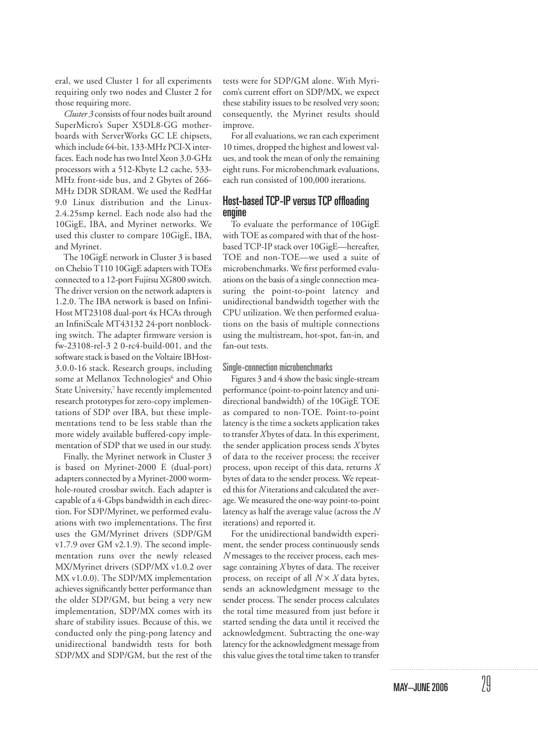eral, we used Cluster 1 for all experiments requiring only two nodes and Cluster 2 for those requiring more.

*Cluster 3* consists of four nodes built around SuperMicro's Super X5DL8-GG motherboards with ServerWorks GC LE chipsets, which include 64-bit, 133-MHz PCI-X interfaces. Each node has two Intel Xeon 3.0-GHz processors with a 512-Kbyte L2 cache, 533- MHz front-side bus, and 2 Gbytes of 266- MHz DDR SDRAM. We used the RedHat 9.0 Linux distribution and the Linux-2.4.25smp kernel. Each node also had the 10GigE, IBA, and Myrinet networks. We used this cluster to compare 10GigE, IBA, and Myrinet.

The 10GigE network in Cluster 3 is based on Chelsio T110 10GigE adapters with TOEs connected to a 12-port Fujitsu XG800 switch. The driver version on the network adapters is 1.2.0. The IBA network is based on Infini-Host MT23108 dual-port 4x HCAs through an InfiniScale MT43132 24-port nonblocking switch. The adapter firmware version is fw-23108-rel-3 2 0-rc4-build-001, and the software stack is based on the Voltaire IBHost-3.0.0-16 stack. Research groups, including some at Mellanox Technologies<sup>6</sup> and Ohio State University,<sup>7</sup> have recently implemented research prototypes for zero-copy implementations of SDP over IBA, but these implementations tend to be less stable than the more widely available buffered-copy implementation of SDP that we used in our study.

Finally, the Myrinet network in Cluster 3 is based on Myrinet-2000 E (dual-port) adapters connected by a Myrinet-2000 wormhole-routed crossbar switch. Each adapter is capable of a 4-Gbps bandwidth in each direction. For SDP/Myrinet, we performed evaluations with two implementations. The first uses the GM/Myrinet drivers (SDP/GM v1.7.9 over GM v2.1.9). The second implementation runs over the newly released MX/Myrinet drivers (SDP/MX v1.0.2 over MX v1.0.0). The SDP/MX implementation achieves significantly better performance than the older SDP/GM, but being a very new implementation, SDP/MX comes with its share of stability issues. Because of this, we conducted only the ping-pong latency and unidirectional bandwidth tests for both SDP/MX and SDP/GM, but the rest of the tests were for SDP/GM alone. With Myricom's current effort on SDP/MX, we expect these stability issues to be resolved very soon; consequently, the Myrinet results should improve.

For all evaluations, we ran each experiment 10 times, dropped the highest and lowest values, and took the mean of only the remaining eight runs. For microbenchmark evaluations, each run consisted of 100,000 iterations.

# Host-based TCP-IP versus TCP offloading engine

To evaluate the performance of 10GigE with TOE as compared with that of the hostbased TCP-IP stack over 10GigE—hereafter, TOE and non-TOE—we used a suite of microbenchmarks. We first performed evaluations on the basis of a single connection measuring the point-to-point latency and unidirectional bandwidth together with the CPU utilization. We then performed evaluations on the basis of multiple connections using the multistream, hot-spot, fan-in, and fan-out tests.

#### Single-connection microbenchmarks

Figures 3 and 4 show the basic single-stream performance (point-to-point latency and unidirectional bandwidth) of the 10GigE TOE as compared to non-TOE. Point-to-point latency is the time a sockets application takes to transfer *X* bytes of data. In this experiment, the sender application process sends *X* bytes of data to the receiver process; the receiver process, upon receipt of this data, returns *X* bytes of data to the sender process. We repeated this for *N* iterations and calculated the average. We measured the one-way point-to-point latency as half the average value (across the *N* iterations) and reported it.

For the unidirectional bandwidth experiment, the sender process continuously sends *N* messages to the receiver process, each message containing *X* bytes of data. The receiver process, on receipt of all *N* × *X* data bytes, sends an acknowledgment message to the sender process. The sender process calculates the total time measured from just before it started sending the data until it received the acknowledgment. Subtracting the one-way latency for the acknowledgment message from this value gives the total time taken to transfer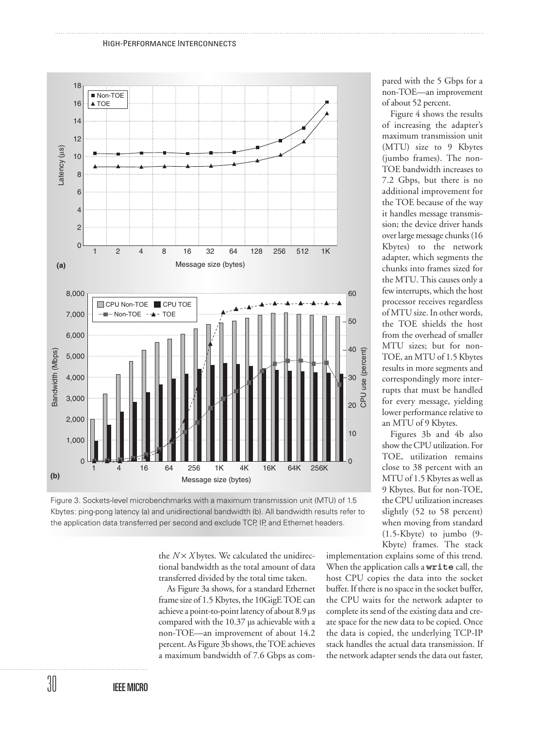



the  $N \times X$  bytes. We calculated the unidirectional bandwidth as the total amount of data transferred divided by the total time taken.

As Figure 3a shows, for a standard Ethernet frame size of 1.5 Kbytes, the 10GigE TOE can achieve a point-to-point latency of about 8.9 µs compared with the 10.37 µs achievable with a non-TOE—an improvement of about 14.2 percent. As Figure 3b shows, the TOE achieves a maximum bandwidth of 7.6 Gbps as compared with the 5 Gbps for a non-TOE—an improvement of about 52 percent.

Figure 4 shows the results of increasing the adapter's maximum transmission unit (MTU) size to 9 Kbytes (jumbo frames). The non-TOE bandwidth increases to 7.2 Gbps, but there is no additional improvement for the TOE because of the way it handles message transmission; the device driver hands over large message chunks (16 Kbytes) to the network adapter, which segments the chunks into frames sized for the MTU. This causes only a few interrupts, which the host processor receives regardless of MTU size. In other words, the TOE shields the host from the overhead of smaller MTU sizes; but for non-TOE, an MTU of 1.5 Kbytes results in more segments and correspondingly more interrupts that must be handled for every message, yielding lower performance relative to an MTU of 9 Kbytes.

Figures 3b and 4b also show the CPU utilization. For TOE, utilization remains close to 38 percent with an MTU of 1.5 Kbytes as well as 9 Kbytes. But for non-TOE, the CPU utilization increases slightly (52 to 58 percent) when moving from standard (1.5-Kbyte) to jumbo (9- Kbyte) frames. The stack

implementation explains some of this trend. When the application calls a write call, the host CPU copies the data into the socket buffer. If there is no space in the socket buffer, the CPU waits for the network adapter to complete its send of the existing data and create space for the new data to be copied. Once the data is copied, the underlying TCP-IP stack handles the actual data transmission. If the network adapter sends the data out faster,

30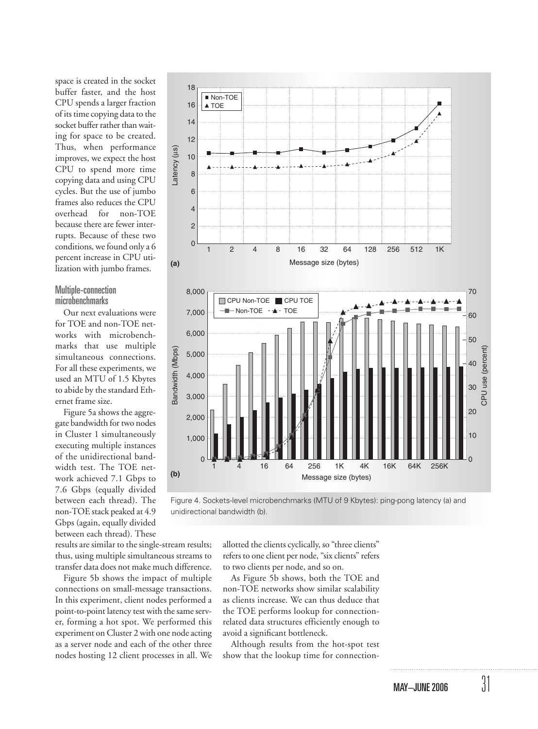space is created in the socket buffer faster, and the host CPU spends a larger fraction of its time copying data to the socket buffer rather than waiting for space to be created. Thus, when performance improves, we expect the host CPU to spend more time copying data and using CPU cycles. But the use of jumbo frames also reduces the CPU overhead for non-TOE because there are fewer interrupts. Because of these two conditions, we found only a 6 percent increase in CPU utilization with jumbo frames.

# Multiple-connection microbenchmarks

Our next evaluations were for TOE and non-TOE networks with microbenchmarks that use multiple simultaneous connections. For all these experiments, we used an MTU of 1.5 Kbytes to abide by the standard Ethernet frame size.

Figure 5a shows the aggregate bandwidth for two nodes in Cluster 1 simultaneously executing multiple instances of the unidirectional bandwidth test. The TOE network achieved 7.1 Gbps to 7.6 Gbps (equally divided between each thread). The non-TOE stack peaked at 4.9 Gbps (again, equally divided between each thread). These

results are similar to the single-stream results; thus, using multiple simultaneous streams to transfer data does not make much difference.

Figure 5b shows the impact of multiple connections on small-message transactions. In this experiment, client nodes performed a point-to-point latency test with the same server, forming a hot spot. We performed this experiment on Cluster 2 with one node acting as a server node and each of the other three nodes hosting 12 client processes in all. We



Figure 4. Sockets-level microbenchmarks (MTU of 9 Kbytes): ping-pong latency (a) and unidirectional bandwidth (b).

allotted the clients cyclically, so "three clients" refers to one client per node, "six clients" refers to two clients per node, and so on.

As Figure 5b shows, both the TOE and non-TOE networks show similar scalability as clients increase. We can thus deduce that the TOE performs lookup for connectionrelated data structures efficiently enough to avoid a significant bottleneck.

Although results from the hot-spot test show that the lookup time for connection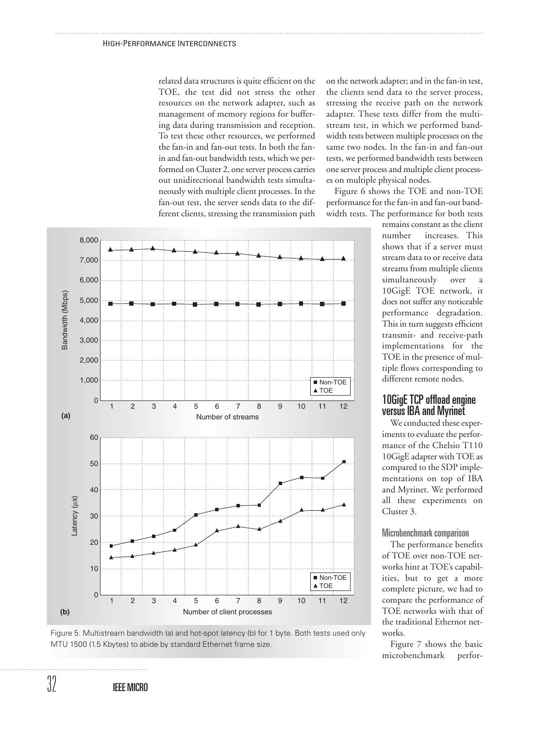related data structures is quite efficient on the TOE, the test did not stress the other resources on the network adapter, such as management of memory regions for buffering data during transmission and reception. To test these other resources, we performed the fan-in and fan-out tests. In both the fanin and fan-out bandwidth tests, which we performed on Cluster 2, one server process carries out unidirectional bandwidth tests simultaneously with multiple client processes. In the fan-out test, the server sends data to the different clients, stressing the transmission path on the network adapter; and in the fan-in test, the clients send data to the server process, stressing the receive path on the network adapter. These tests differ from the multistream test, in which we performed bandwidth tests between multiple processes on the same two nodes. In the fan-in and fan-out tests, we performed bandwidth tests between one server process and multiple client processes on multiple physical nodes.

Figure 6 shows the TOE and non-TOE performance for the fan-in and fan-out bandwidth tests. The performance for both tests

remains constant as the client number increases. This shows that if a server must stream data to or receive data streams from multiple clients simultaneously over 10GigE TOE network, it does not suffer any noticeable performance degradation. This in turn suggests efficient transmit- and receive-path implementations for the TOE in the presence of multiple flows corresponding to different remote nodes.

# 10GigE TCP offload engine versus IBA and Myrinet

We conducted these experiments to evaluate the performance of the Chelsio T110 10GigE adapter with TOE as compared to the SDP implementations on top of IBA and Myrinet. We performed all these experiments on Cluster 3.

Microbenchmark comparison

The performance benefits of TOE over non-TOE networks hint at TOE's capabilities, but to get a more complete picture, we had to compare the performance of TOE networks with that of the traditional Ethernot networks.

Figure 7 shows the basic microbenchmark perfor-



Figure 5. Multistream bandwidth (a) and hot-spot latency (b) for 1 byte. Both tests used only MTU 1500 (1.5 Kbytes) to abide by standard Ethernet frame size.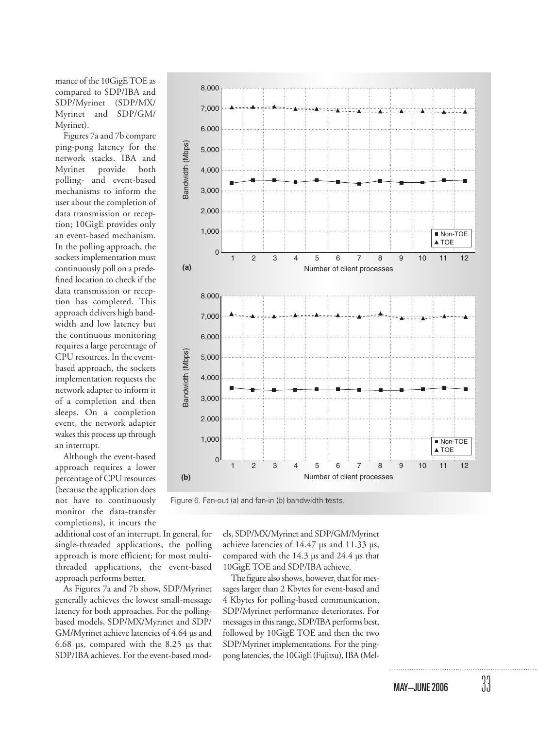mance of the 10GigE TOE as compared to SDP/IBA and SDP/Myrinet (SDP/MX/ Myrinet and SDP/GM/ Myrinet).

Figures 7a and 7b compare ping-pong latency for the network stacks. IBA and Myrinet provide both polling- and event-based mechanisms to inform the user about the completion of data transmission or reception; 10GigE provides only an event-based mechanism. In the polling approach, the sockets implementation must continuously poll on a predefined location to check if the data transmission or reception has completed. This approach delivers high bandwidth and low latency but the continuous monitoring requires a large percentage of CPU resources. In the eventbased approach, the sockets implementation requests the network adapter to inform it of a completion and then sleeps. On a completion event, the network adapter wakes this process up through an interrupt.

Although the event-based approach requires a lower percentage of CPU resources (because the application does not have to continuously monitor the data-transfer completions), it incurs the

additional cost of an interrupt. In general, for single-threaded applications, the polling approach is more efficient; for most multithreaded applications, the event-based approach performs better.

As Figures 7a and 7b show, SDP/Myrinet generally achieves the lowest small-message latency for both approaches. For the pollingbased models, SDP/MX/Myrinet and SDP/ GM/Myrinet achieve latencies of 4.64 µs and 6.68 µs, compared with the 8.25 µs that SDP/IBA achieves. For the event-based mod-



Figure 6. Fan-out (a) and fan-in (b) bandwidth tests.

els, SDP/MX/Myrinet and SDP/GM/Myrinet achieve latencies of 14.47 µs and 11.33 µs, compared with the 14.3 µs and 24.4 µs that 10GigE TOE and SDP/IBA achieve.

The figure also shows, however, that for messages larger than 2 Kbytes for event-based and 4 Kbytes for polling-based communication, SDP/Myrinet performance deteriorates. For messages in this range, SDP/IBA performs best, followed by 10GigE TOE and then the two SDP/Myrinet implementations. For the pingpong latencies, the 10GigE (Fujitsu), IBA (Mel-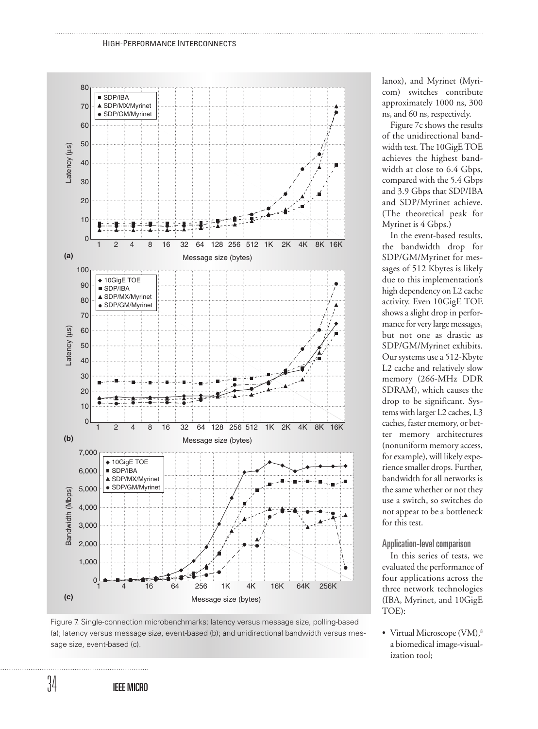#### HIGH-PERFORMANCE INTERCONNECTS



lanox), and Myrinet (Myricom) switches contribute approximately 1000 ns, 300 ns, and 60 ns, respectively.

Figure 7c shows the results of the unidirectional bandwidth test. The 10GigE TOE achieves the highest bandwidth at close to 6.4 Gbps, compared with the 5.4 Gbps and 3.9 Gbps that SDP/IBA and SDP/Myrinet achieve. (The theoretical peak for Myrinet is 4 Gbps.)

In the event-based results, the bandwidth drop for SDP/GM/Myrinet for messages of 512 Kbytes is likely due to this implementation's high dependency on L2 cache activity. Even 10GigE TOE shows a slight drop in performance for very large messages, but not one as drastic as SDP/GM/Myrinet exhibits. Our systems use a 512-Kbyte L2 cache and relatively slow memory (266-MHz DDR SDRAM), which causes the drop to be significant. Systems with larger L2 caches, L3 caches, faster memory, or better memory architectures (nonuniform memory access, for example), will likely experience smaller drops. Further, bandwidth for all networks is the same whether or not they use a switch, so switches do not appear to be a bottleneck for this test.

## Application-level comparison

In this series of tests, we evaluated the performance of four applications across the three network technologies (IBA, Myrinet, and 10GigE TOE):

• Virtual Microscope (VM),<sup>8</sup> a biomedical image-visualization tool;

Figure 7. Single-connection microbenchmarks: latency versus message size, polling-based (a); latency versus message size, event-based (b); and unidirectional bandwidth versus message size, event-based (c).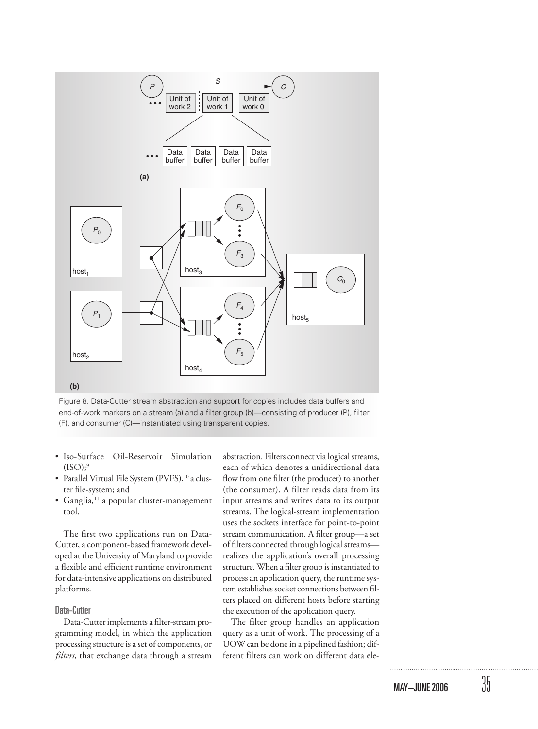

Figure 8. Data-Cutter stream abstraction and support for copies includes data buffers and end-of-work markers on a stream (a) and a filter group (b)—consisting of producer (P), filter (F), and consumer (C)—instantiated using transparent copies.

- Iso-Surface Oil-Reservoir Simulation  $(ISO)$ ;<sup>9</sup>
- Parallel Virtual File System (PVFS),<sup>10</sup> a cluster file-system; and
- $\bullet$  Ganglia,<sup>11</sup> a popular cluster-management tool.

The first two applications run on Data-Cutter, a component-based framework developed at the University of Maryland to provide a flexible and efficient runtime environment for data-intensive applications on distributed platforms.

#### Data-Cutter

Data-Cutter implements a filter-stream programming model, in which the application processing structure is a set of components, or *filters*, that exchange data through a stream

abstraction. Filters connect via logical streams, each of which denotes a unidirectional data flow from one filter (the producer) to another (the consumer). A filter reads data from its input streams and writes data to its output streams. The logical-stream implementation uses the sockets interface for point-to-point stream communication. A filter group—a set of filters connected through logical streams realizes the application's overall processing structure. When a filter group is instantiated to process an application query, the runtime system establishes socket connections between filters placed on different hosts before starting the execution of the application query.

The filter group handles an application query as a unit of work. The processing of a UOW can be done in a pipelined fashion; different filters can work on different data ele-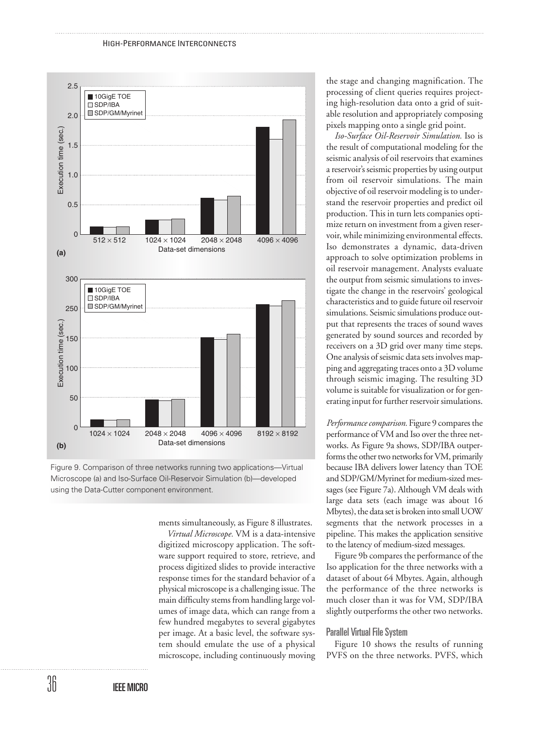



ments simultaneously, as Figure 8 illustrates.

*Virtual Microscope.* VM is a data-intensive digitized microscopy application. The software support required to store, retrieve, and process digitized slides to provide interactive response times for the standard behavior of a physical microscope is a challenging issue. The main difficulty stems from handling large volumes of image data, which can range from a few hundred megabytes to several gigabytes per image. At a basic level, the software system should emulate the use of a physical microscope, including continuously moving the stage and changing magnification. The processing of client queries requires projecting high-resolution data onto a grid of suitable resolution and appropriately composing pixels mapping onto a single grid point.

*Iso-Surface Oil-Reservoir Simulation.* Iso is the result of computational modeling for the seismic analysis of oil reservoirs that examines a reservoir's seismic properties by using output from oil reservoir simulations. The main objective of oil reservoir modeling is to understand the reservoir properties and predict oil production. This in turn lets companies optimize return on investment from a given reservoir, while minimizing environmental effects. Iso demonstrates a dynamic, data-driven approach to solve optimization problems in oil reservoir management. Analysts evaluate the output from seismic simulations to investigate the change in the reservoirs' geological characteristics and to guide future oil reservoir simulations. Seismic simulations produce output that represents the traces of sound waves generated by sound sources and recorded by receivers on a 3D grid over many time steps. One analysis of seismic data sets involves mapping and aggregating traces onto a 3D volume through seismic imaging. The resulting 3D volume is suitable for visualization or for generating input for further reservoir simulations.

*Performance comparison.* Figure 9 compares the performance of VM and Iso over the three networks. As Figure 9a shows, SDP/IBA outperforms the other two networks for VM, primarily because IBA delivers lower latency than TOE and SDP/GM/Myrinet for medium-sized messages (see Figure 7a). Although VM deals with large data sets (each image was about 16 Mbytes), the data set is broken into small UOW segments that the network processes in a pipeline. This makes the application sensitive to the latency of medium-sized messages.

Figure 9b compares the performance of the Iso application for the three networks with a dataset of about 64 Mbytes. Again, although the performance of the three networks is much closer than it was for VM, SDP/IBA slightly outperforms the other two networks.

# Parallel Virtual File System

Figure 10 shows the results of running PVFS on the three networks. PVFS, which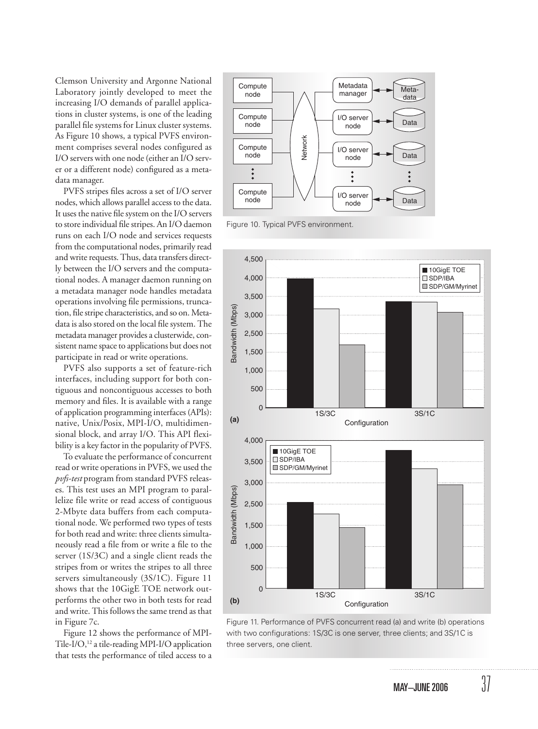Clemson University and Argonne National Laboratory jointly developed to meet the increasing I/O demands of parallel applications in cluster systems, is one of the leading parallel file systems for Linux cluster systems. As Figure 10 shows, a typical PVFS environment comprises several nodes configured as I/O servers with one node (either an I/O server or a different node) configured as a metadata manager.

PVFS stripes files across a set of I/O server nodes, which allows parallel access to the data. It uses the native file system on the I/O servers to store individual file stripes. An I/O daemon runs on each I/O node and services requests from the computational nodes, primarily read and write requests. Thus, data transfers directly between the I/O servers and the computational nodes. A manager daemon running on a metadata manager node handles metadata operations involving file permissions, truncation, file stripe characteristics, and so on. Metadata is also stored on the local file system. The metadata manager provides a clusterwide, consistent name space to applications but does not participate in read or write operations.

PVFS also supports a set of feature-rich interfaces, including support for both contiguous and noncontiguous accesses to both memory and files. It is available with a range of application programming interfaces (APIs): native, Unix/Posix, MPI-I/O, multidimensional block, and array I/O. This API flexibility is a key factor in the popularity of PVFS.

To evaluate the performance of concurrent read or write operations in PVFS, we used the *pvfs-test* program from standard PVFS releases. This test uses an MPI program to parallelize file write or read access of contiguous 2-Mbyte data buffers from each computational node. We performed two types of tests for both read and write: three clients simultaneously read a file from or write a file to the server (1S/3C) and a single client reads the stripes from or writes the stripes to all three servers simultaneously (3S/1C). Figure 11 shows that the 10GigE TOE network outperforms the other two in both tests for read and write. This follows the same trend as that in Figure 7c.

Figure 12 shows the performance of MPI-Tile-I/O,<sup>12</sup> a tile-reading MPI-I/O application that tests the performance of tiled access to a



Figure 10. Typical PVFS environment.



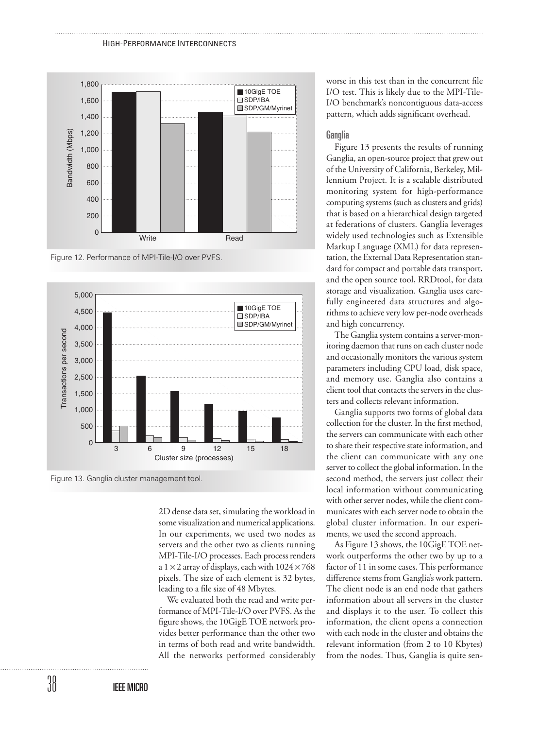

Figure 12. Performance of MPI-Tile-I/O over PVFS.



Figure 13. Ganglia cluster management tool.

2D dense data set, simulating the workload in some visualization and numerical applications. In our experiments, we used two nodes as servers and the other two as clients running MPI-Tile-I/O processes. Each process renders a  $1 \times 2$  array of displays, each with  $1024 \times 768$ pixels. The size of each element is 32 bytes, leading to a file size of 48 Mbytes.

We evaluated both the read and write performance of MPI-Tile-I/O over PVFS. As the figure shows, the 10GigE TOE network provides better performance than the other two in terms of both read and write bandwidth. All the networks performed considerably worse in this test than in the concurrent file I/O test. This is likely due to the MPI-Tile-I/O benchmark's noncontiguous data-access pattern, which adds significant overhead.

#### Ganglia

Figure 13 presents the results of running Ganglia, an open-source project that grew out of the University of California, Berkeley, Millennium Project. It is a scalable distributed monitoring system for high-performance computing systems (such as clusters and grids) that is based on a hierarchical design targeted at federations of clusters. Ganglia leverages widely used technologies such as Extensible Markup Language (XML) for data representation, the External Data Representation standard for compact and portable data transport, and the open source tool, RRDtool, for data storage and visualization. Ganglia uses carefully engineered data structures and algorithms to achieve very low per-node overheads and high concurrency.

The Ganglia system contains a server-monitoring daemon that runs on each cluster node and occasionally monitors the various system parameters including CPU load, disk space, and memory use. Ganglia also contains a client tool that contacts the servers in the clusters and collects relevant information.

Ganglia supports two forms of global data collection for the cluster. In the first method, the servers can communicate with each other to share their respective state information, and the client can communicate with any one server to collect the global information. In the second method, the servers just collect their local information without communicating with other server nodes, while the client communicates with each server node to obtain the global cluster information. In our experiments, we used the second approach.

As Figure 13 shows, the 10GigE TOE network outperforms the other two by up to a factor of 11 in some cases. This performance difference stems from Ganglia's work pattern. The client node is an end node that gathers information about all servers in the cluster and displays it to the user. To collect this information, the client opens a connection with each node in the cluster and obtains the relevant information (from 2 to 10 Kbytes) from the nodes. Thus, Ganglia is quite sen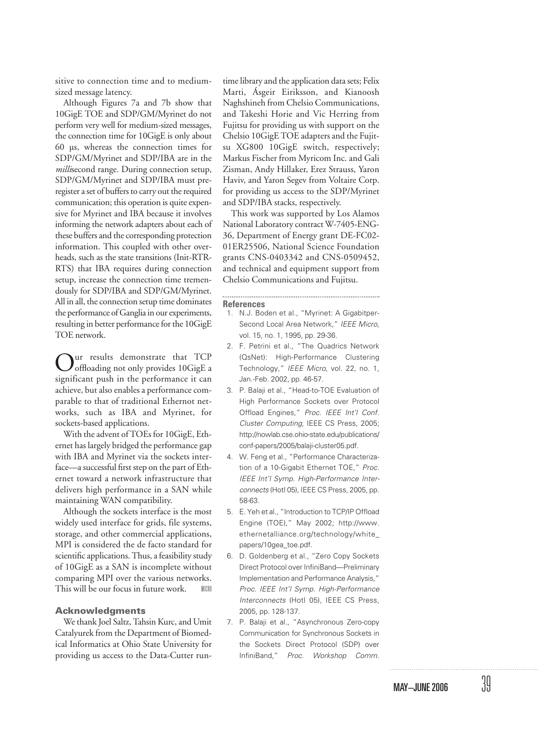sitive to connection time and to mediumsized message latency.

Although Figures 7a and 7b show that 10GigE TOE and SDP/GM/Myrinet do not perform very well for medium-sized messages, the connection time for 10GigE is only about 60 µs, whereas the connection times for SDP/GM/Myrinet and SDP/IBA are in the *milli*second range. During connection setup, SDP/GM/Myrinet and SDP/IBA must preregister a set of buffers to carry out the required communication; this operation is quite expensive for Myrinet and IBA because it involves informing the network adapters about each of these buffers and the corresponding protection information. This coupled with other overheads, such as the state transitions (Init-RTR-RTS) that IBA requires during connection setup, increase the connection time tremendously for SDP/IBA and SDP/GM/Myrinet. All in all, the connection setup time dominates the performance of Ganglia in our experiments, resulting in better performance for the 10GigE TOE network.

ur results demonstrate that TCP offloading not only provides 10GigE a significant push in the performance it can achieve, but also enables a performance comparable to that of traditional Ethernot networks, such as IBA and Myrinet, for sockets-based applications.

With the advent of TOEs for 10GigE, Ethernet has largely bridged the performance gap with IBA and Myrinet via the sockets interface—a successful first step on the part of Ethernet toward a network infrastructure that delivers high performance in a SAN while maintaining WAN compatibility.

Although the sockets interface is the most widely used interface for grids, file systems, storage, and other commercial applications, MPI is considered the de facto standard for scientific applications. Thus, a feasibility study of 10GigE as a SAN is incomplete without comparing MPI over the various networks. This will be our focus in future work. MICRO

#### **Acknowledgments**

We thank Joel Saltz, Tahsin Kurc, and Umit Catalyurek from the Department of Biomedical Informatics at Ohio State University for providing us access to the Data-Cutter run-

time library and the application data sets; Felix Marti, Ásgeir Eiriksson, and Kianoosh Naghshineh from Chelsio Communications, and Takeshi Horie and Vic Herring from Fujitsu for providing us with support on the Chelsio 10GigE TOE adapters and the Fujitsu XG800 10GigE switch, respectively; Markus Fischer from Myricom Inc. and Gali Zisman, Andy Hillaker, Erez Strauss, Yaron Haviv, and Yaron Segev from Voltaire Corp. for providing us access to the SDP/Myrinet and SDP/IBA stacks, respectively.

This work was supported by Los Alamos National Laboratory contract W-7405-ENG-36, Department of Energy grant DE-FC02- 01ER25506, National Science Foundation grants CNS-0403342 and CNS-0509452, and technical and equipment support from Chelsio Communications and Fujitsu.

#### **References**

1. N.J. Boden et al., "Myrinet: A Gigabitper-Second Local Area Network," IEEE Micro, vol. 15, no. 1, 1995, pp. 29-36.

- 2. F. Petrini et al., "The Quadrics Network (QsNet): High-Performance Clustering Technology," IEEE Micro, vol. 22, no. 1, Jan.-Feb. 2002, pp. 46-57.
- 3. P. Balaji et al., "Head-to-TOE Evaluation of High Performance Sockets over Protocol Offload Engines," Proc. IEEE Int'l Conf. Cluster Computing, IEEE CS Press, 2005; http://nowlab.cse.ohio-state.edu/publications/ conf-papers/2005/balaji-cluster05.pdf.
- 4. W. Feng et al., "Performance Characterization of a 10-Gigabit Ethernet TOE," Proc. IEEE Int'l Symp. High-Performance Interconnects (HotI 05), IEEE CS Press, 2005, pp. 58-63.
- 5. E. Yeh et al., "Introduction to TCP/IP Offload Engine (TOE)," May 2002; http://www. ethernetalliance.org/technology/white\_ papers/10gea\_toe.pdf.
- 6. D. Goldenberg et al., "Zero Copy Sockets Direct Protocol over InfiniBand—Preliminary Implementation and Performance Analysis," Proc. IEEE Int'l Symp. High-Performance Interconnects (HotI 05), IEEE CS Press, 2005, pp. 128-137.
- 7. P. Balaji et al., "Asynchronous Zero-copy Communication for Synchronous Sockets in the Sockets Direct Protocol (SDP) over InfiniBand," Proc. Workshop Comm.